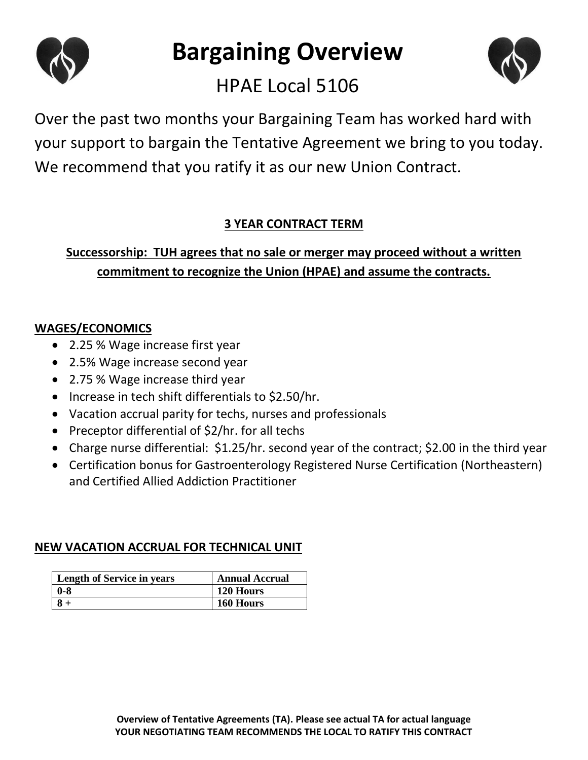

# **Bargaining Overview**



# HPAE Local 5106

Over the past two months your Bargaining Team has worked hard with your support to bargain the Tentative Agreement we bring to you today. We recommend that you ratify it as our new Union Contract.

# **3 YEAR CONTRACT TERM**

# **Successorship: TUH agrees that no sale or merger may proceed without a written commitment to recognize the Union (HPAE) and assume the contracts.**

## **WAGES/ECONOMICS**

- 2.25 % Wage increase first year
- 2.5% Wage increase second year
- 2.75 % Wage increase third year
- Increase in tech shift differentials to \$2.50/hr.
- Vacation accrual parity for techs, nurses and professionals
- Preceptor differential of  $$2/hr.$  for all techs
- Charge nurse differential: \$1.25/hr. second year of the contract; \$2.00 in the third year
- Certification bonus for Gastroenterology Registered Nurse Certification (Northeastern) and Certified Allied Addiction Practitioner

### **NEW VACATION ACCRUAL FOR TECHNICAL UNIT**

| <b>Length of Service in years</b> | <b>Annual Accrual</b> |
|-----------------------------------|-----------------------|
| -0-8                              | 120 Hours             |
|                                   | 160 Hours             |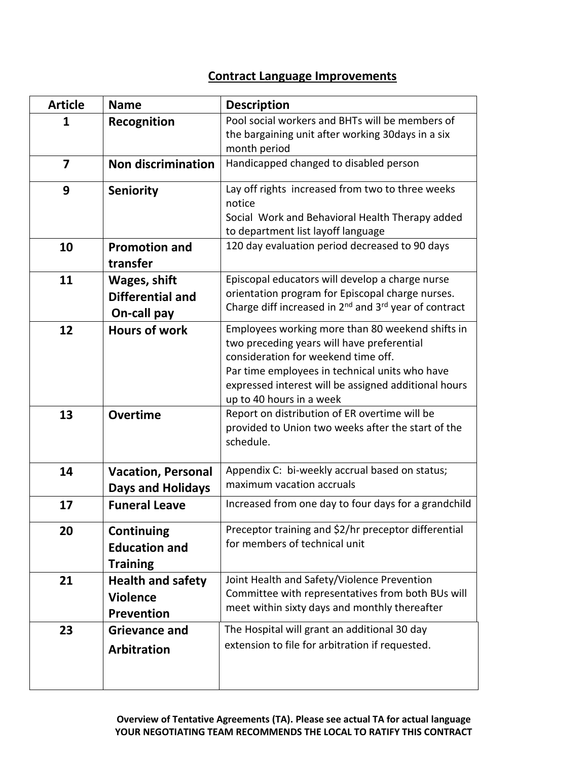#### **Contract Language Improvements**

| <b>Article</b>          | <b>Name</b>                                                      | <b>Description</b>                                                                                                                                                                                                                                                          |
|-------------------------|------------------------------------------------------------------|-----------------------------------------------------------------------------------------------------------------------------------------------------------------------------------------------------------------------------------------------------------------------------|
| 1                       | Recognition                                                      | Pool social workers and BHTs will be members of<br>the bargaining unit after working 30days in a six<br>month period                                                                                                                                                        |
| $\overline{\mathbf{z}}$ | <b>Non discrimination</b>                                        | Handicapped changed to disabled person                                                                                                                                                                                                                                      |
| 9                       | <b>Seniority</b>                                                 | Lay off rights increased from two to three weeks<br>notice<br>Social Work and Behavioral Health Therapy added<br>to department list layoff language                                                                                                                         |
| 10                      | <b>Promotion and</b><br>transfer                                 | 120 day evaluation period decreased to 90 days                                                                                                                                                                                                                              |
| 11                      | <b>Wages, shift</b><br><b>Differential and</b><br>On-call pay    | Episcopal educators will develop a charge nurse<br>orientation program for Episcopal charge nurses.<br>Charge diff increased in 2 <sup>nd</sup> and 3 <sup>rd</sup> year of contract                                                                                        |
| 12                      | <b>Hours of work</b>                                             | Employees working more than 80 weekend shifts in<br>two preceding years will have preferential<br>consideration for weekend time off.<br>Par time employees in technical units who have<br>expressed interest will be assigned additional hours<br>up to 40 hours in a week |
| 13                      | <b>Overtime</b>                                                  | Report on distribution of ER overtime will be<br>provided to Union two weeks after the start of the<br>schedule.                                                                                                                                                            |
| 14                      | <b>Vacation, Personal</b><br><b>Days and Holidays</b>            | Appendix C: bi-weekly accrual based on status;<br>maximum vacation accruals                                                                                                                                                                                                 |
| 17                      | <b>Funeral Leave</b>                                             | Increased from one day to four days for a grandchild                                                                                                                                                                                                                        |
| 20                      | Continuing<br><b>Education and</b><br><b>Training</b>            | Preceptor training and \$2/hr preceptor differential<br>for members of technical unit                                                                                                                                                                                       |
| 21                      | <b>Health and safety</b><br><b>Violence</b><br><b>Prevention</b> | Joint Health and Safety/Violence Prevention<br>Committee with representatives from both BUs will<br>meet within sixty days and monthly thereafter                                                                                                                           |
| 23                      | <b>Grievance and</b><br><b>Arbitration</b>                       | The Hospital will grant an additional 30 day<br>extension to file for arbitration if requested.                                                                                                                                                                             |